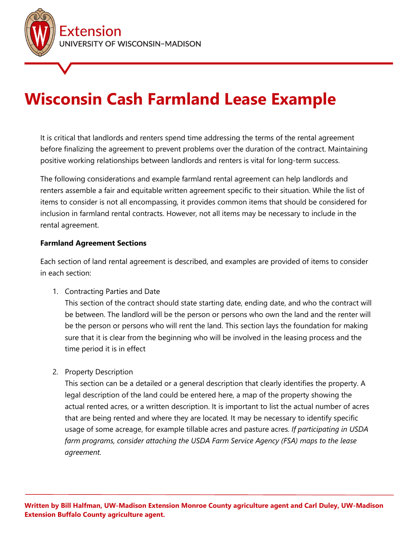

# **Wisconsin Cash Farmland Lease Example**

It is critical that landlords and renters spend time addressing the terms of the rental agreement before finalizing the agreement to prevent problems over the duration of the contract. Maintaining positive working relationships between landlords and renters is vital for long-term success.

The following considerations and example farmland rental agreement can help landlords and renters assemble a fair and equitable written agreement specific to their situation. While the list of items to consider is not all encompassing, it provides common items that should be considered for inclusion in farmland rental contracts. However, not all items may be necessary to include in the rental agreement.

## **Farmland Agreement Sections**

Each section of land rental agreement is described, and examples are provided of items to consider in each section:

1. Contracting Parties and Date

This section of the contract should state starting date, ending date, and who the contract will be between. The landlord will be the person or persons who own the land and the renter will be the person or persons who will rent the land. This section lays the foundation for making sure that it is clear from the beginning who will be involved in the leasing process and the time period it is in effect

2. Property Description

This section can be a detailed or a general description that clearly identifies the property. A legal description of the land could be entered here, a map of the property showing the actual rented acres, or a written description. It is important to list the actual number of acres that are being rented and where they are located*.* It may be necessary to identify specific usage of some acreage, for example tillable acres and pasture acres. *If participating in USDA farm programs, consider attaching the USDA Farm Service Agency (FSA) maps to the lease agreement.*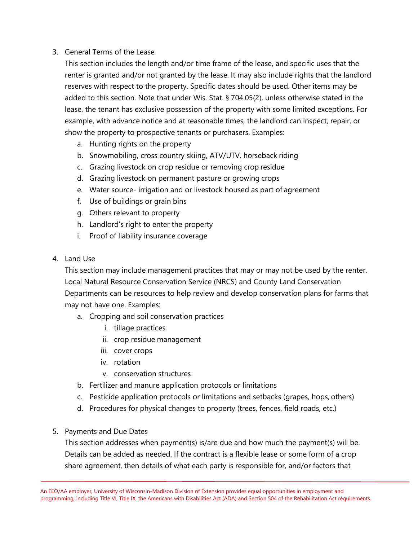## 3. General Terms of the Lease

This section includes the length and/or time frame of the lease, and specific uses that the renter is granted and/or not granted by the lease. It may also include rights that the landlord reserves with respect to the property. Specific dates should be used. Other items may be added to this section. Note that under Wis. Stat. § 704.05(2), unless otherwise stated in the lease, the tenant has exclusive possession of the property with some limited exceptions. For example, with advance notice and at reasonable times, the landlord can inspect, repair, or show the property to prospective tenants or purchasers. Examples:

- a. Hunting rights on the property
- b. Snowmobiling, cross country skiing, ATV/UTV, horseback riding
- c. Grazing livestock on crop residue or removing crop residue
- d. Grazing livestock on permanent pasture or growing crops
- e. Water source- irrigation and or livestock housed as part of agreement
- f. Use of buildings or grain bins
- g. Others relevant to property
- h. Landlord's right to enter the property
- i. Proof of liability insurance coverage
- 4. Land Use

This section may include management practices that may or may not be used by the renter. Local Natural Resource Conservation Service (NRCS) and County Land Conservation Departments can be resources to help review and develop conservation plans for farms that may not have one. Examples:

- a. Cropping and soil conservation practices
	- i. tillage practices
	- ii. crop residue management
	- iii. cover crops
	- iv. rotation
	- v. conservation structures
- b. Fertilizer and manure application protocols or limitations
- c. Pesticide application protocols or limitations and setbacks (grapes, hops, others)
- d. Procedures for physical changes to property (trees, fences, field roads, etc.)
- 5. Payments and Due Dates

This section addresses when payment(s) is/are due and how much the payment(s) will be. Details can be added as needed. If the contract is a flexible lease or some form of a crop share agreement, then details of what each party is responsible for, and/or factors that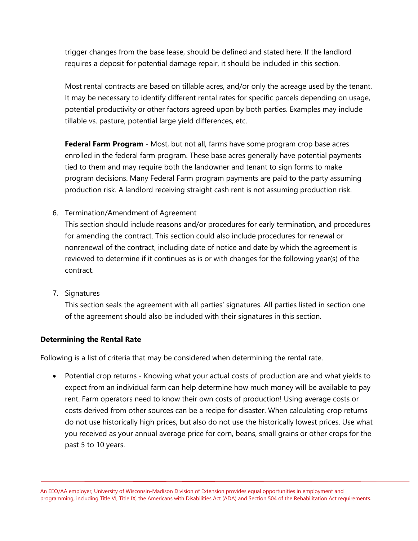trigger changes from the base lease, should be defined and stated here. If the landlord requires a deposit for potential damage repair, it should be included in this section.

Most rental contracts are based on tillable acres, and/or only the acreage used by the tenant. It may be necessary to identify different rental rates for specific parcels depending on usage, potential productivity or other factors agreed upon by both parties. Examples may include tillable vs. pasture, potential large yield differences, etc.

**Federal Farm Program** - Most, but not all, farms have some program crop base acres enrolled in the federal farm program. These base acres generally have potential payments tied to them and may require both the landowner and tenant to sign forms to make program decisions. Many Federal Farm program payments are paid to the party assuming production risk. A landlord receiving straight cash rent is not assuming production risk.

6. Termination/Amendment of Agreement

This section should include reasons and/or procedures for early termination, and procedures for amending the contract. This section could also include procedures for renewal or nonrenewal of the contract, including date of notice and date by which the agreement is reviewed to determine if it continues as is or with changes for the following year(s) of the contract.

7. Signatures

This section seals the agreement with all parties' signatures. All parties listed in section one of the agreement should also be included with their signatures in this section.

## **Determining the Rental Rate**

Following is a list of criteria that may be considered when determining the rental rate.

• Potential crop returns - Knowing what your actual costs of production are and what yields to expect from an individual farm can help determine how much money will be available to pay rent. Farm operators need to know their own costs of production! Using average costs or costs derived from other sources can be a recipe for disaster. When calculating crop returns do not use historically high prices, but also do not use the historically lowest prices. Use what you received as your annual average price for corn, beans, small grains or other crops for the past 5 to 10 years.

An EEO/AA employer, University of Wisconsin-Madison Division of Extension provides equal opportunities in employment and programming, including Title VI, Title IX, the Americans with Disabilities Act (ADA) and Section 504 of the Rehabilitation Act requirements.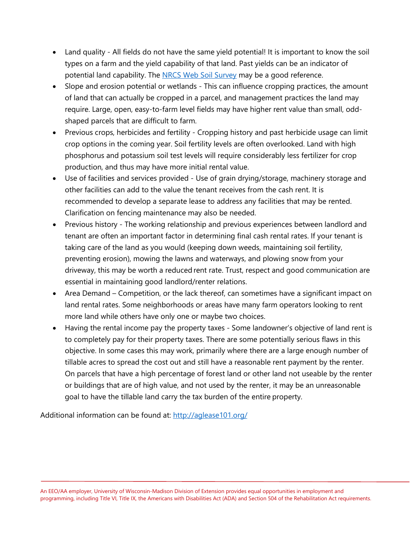- Land quality All fields do not have the same yield potential! It is important to know the soil types on a farm and the yield capability of that land. Past yields can be an indicator of potential land capability. The [NRCS Web Soil Survey](https://websoilsurvey.sc.egov.usda.gov/App/HomePage.htm) may be a good reference.
- Slope and erosion potential or wetlands This can influence cropping practices, the amount of land that can actually be cropped in a parcel, and management practices the land may require. Large, open, easy-to-farm level fields may have higher rent value than small, oddshaped parcels that are difficult to farm.
- Previous crops, herbicides and fertility Cropping history and past herbicide usage can limit crop options in the coming year. Soil fertility levels are often overlooked. Land with high phosphorus and potassium soil test levels will require considerably less fertilizer for crop production, and thus may have more initial rental value.
- Use of facilities and services provided Use of grain drying/storage, machinery storage and other facilities can add to the value the tenant receives from the cash rent. It is recommended to develop a separate lease to address any facilities that may be rented. Clarification on fencing maintenance may also be needed.
- Previous history The working relationship and previous experiences between landlord and tenant are often an important factor in determining final cash rental rates. If your tenant is taking care of the land as you would (keeping down weeds, maintaining soil fertility, preventing erosion), mowing the lawns and waterways, and plowing snow from your driveway, this may be worth a reduced rent rate. Trust, respect and good communication are essential in maintaining good landlord/renter relations.
- Area Demand Competition, or the lack thereof, can sometimes have a significant impact on land rental rates. Some neighborhoods or areas have many farm operators looking to rent more land while others have only one or maybe two choices.
- Having the rental income pay the property taxes Some landowner's objective of land rent is to completely pay for their property taxes. There are some potentially serious flaws in this objective. In some cases this may work, primarily where there are a large enough number of tillable acres to spread the cost out and still have a reasonable rent payment by the renter. On parcels that have a high percentage of forest land or other land not useable by the renter or buildings that are of high value, and not used by the renter, it may be an unreasonable goal to have the tillable land carry the tax burden of the entire property.

Additional information can be found at:<http://aglease101.org/>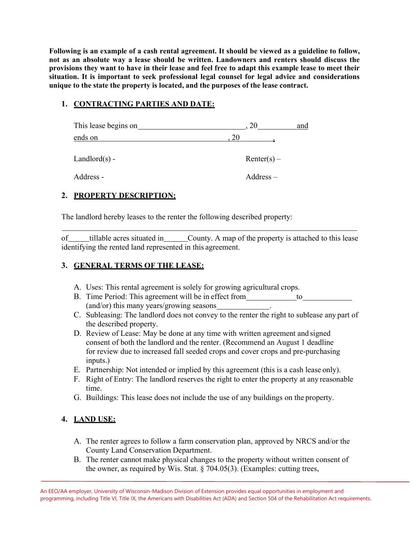**Following is an example of a cash rental agreement. It should be viewed as a guideline to follow, not as an absolute way a lease should be written. Landowners and renters should discuss the provisions they want to have in their lease and feel free to adapt this example lease to meet their situation. It is important to seek professional legal counsel for legal advice and considerations unique to the state the property is located, and the purposes of the lease contract.**

## **1. CONTRACTING PARTIES AND DATE:**

| This lease begins on |               | and |
|----------------------|---------------|-----|
| ends on              | 20            |     |
| $Landlord(s)$ -      | $Renter(s) -$ |     |
| Address -            | $Address -$   |     |

## **2. PROPERTY DESCRIPTION:**

The landlord hereby leases to the renter the following described property:

of tillable acres situated in County. A map of the property is attached to this lease identifying the rented land represented in this agreement.

#### **3. GENERAL TERMS OF THE LEASE:**

- A. Uses: This rental agreement is solely for growing agricultural crops.
- B. Time Period: This agreement will be in effect from to (and/or) this many years/growing seasons .
- C. Subleasing: The landlord does not convey to the renter the right to sublease any part of the described property.
- D. Review of Lease: May be done at any time with written agreement and signed consent of both the landlord and the renter. (Recommend an August 1 deadline for review due to increased fall seeded crops and cover crops and pre-purchasing inputs.)
- E. Partnership: Not intended or implied by this agreement (this is a cash lease only).
- F. Right of Entry: The landlord reserves the right to enter the property at any reasonable time.
- G. Buildings: This lease does not include the use of any buildings on the property.

## **4. LAND USE:**

- A. The renter agrees to follow a farm conservation plan, approved by NRCS and/or the County Land Conservation Department.
- B. The renter cannot make physical changes to the property without written consent of the owner, as required by Wis. Stat. § 704.05(3). (Examples: cutting trees,

An EEO/AA employer, University of Wisconsin-Madison Division of Extension provides equal opportunities in employment and programming, including Title VI, Title IX, the Americans with Disabilities Act (ADA) and Section 504 of the Rehabilitation Act requirements.